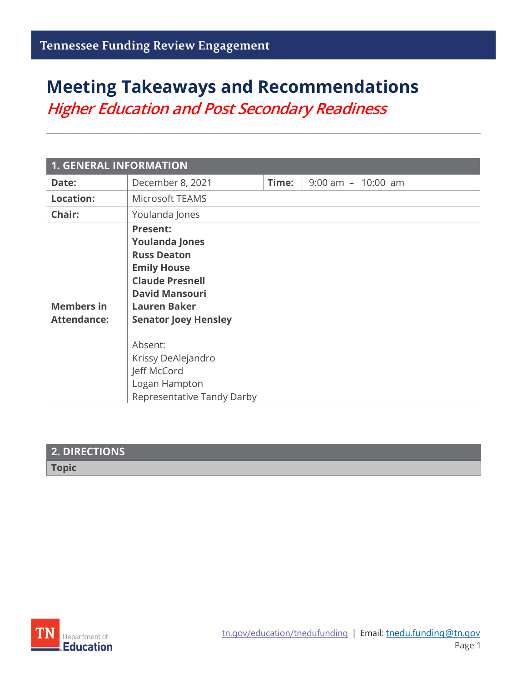# **Meeting Takeaways and Recommendations**

*Higher Education and Post Secondary Readiness*

| <b>1. GENERAL INFORMATION</b>           |                                                                                                                                                                                                                                |       |                       |
|-----------------------------------------|--------------------------------------------------------------------------------------------------------------------------------------------------------------------------------------------------------------------------------|-------|-----------------------|
| Date:                                   | December 8, 2021                                                                                                                                                                                                               | Time: | $9:00$ am $-10:00$ am |
| <b>Location:</b>                        | Microsoft TEAMS                                                                                                                                                                                                                |       |                       |
| Chair:                                  | Youlanda Jones                                                                                                                                                                                                                 |       |                       |
| <b>Members in</b><br><b>Attendance:</b> | <b>Present:</b><br><b>Youlanda Jones</b><br><b>Russ Deaton</b><br><b>Emily House</b><br><b>Claude Presnell</b><br><b>David Mansouri</b><br><b>Lauren Baker</b><br><b>Senator Joey Hensley</b><br>Absent:<br>Krissy DeAlejandro |       |                       |
|                                         | Jeff McCord                                                                                                                                                                                                                    |       |                       |
|                                         | Logan Hampton                                                                                                                                                                                                                  |       |                       |
|                                         | Representative Tandy Darby                                                                                                                                                                                                     |       |                       |

# **2. DIRECTIONS Topic**

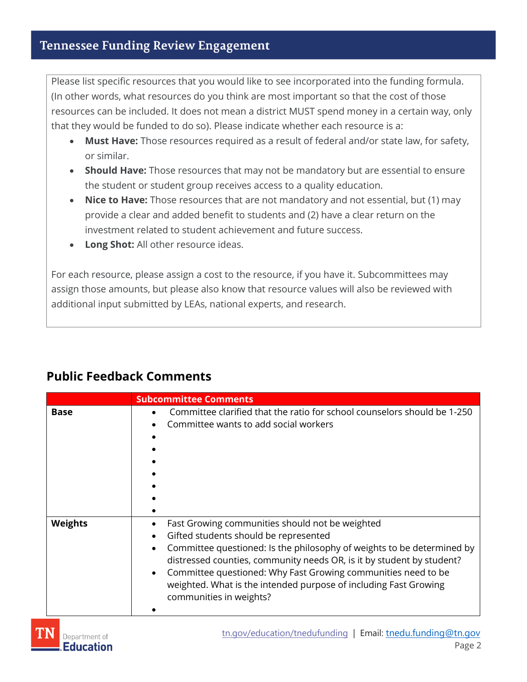Please list specific resources that you would like to see incorporated into the funding formula. (In other words, what resources do you think are most important so that the cost of those resources can be included. It does not mean a district MUST spend money in a certain way, only that they would be funded to do so). Please indicate whether each resource is a:

- **Must Have:** Those resources required as a result of federal and/or state law, for safety, or similar.
- **Should Have:** Those resources that may not be mandatory but are essential to ensure the student or student group receives access to a quality education.
- **Nice to Have:** Those resources that are not mandatory and not essential, but (1) may provide a clear and added benefit to students and (2) have a clear return on the investment related to student achievement and future success.
- **Long Shot:** All other resource ideas.

For each resource, please assign a cost to the resource, if you have it. Subcommittees may assign those amounts, but please also know that resource values will also be reviewed with additional input submitted by LEAs, national experts, and research.

|                | <b>Subcommittee Comments</b>                                                                                                                                                                                                                                                                                                                                                                                                                       |  |
|----------------|----------------------------------------------------------------------------------------------------------------------------------------------------------------------------------------------------------------------------------------------------------------------------------------------------------------------------------------------------------------------------------------------------------------------------------------------------|--|
| <b>Base</b>    | Committee clarified that the ratio for school counselors should be 1-250<br>$\bullet$<br>Committee wants to add social workers                                                                                                                                                                                                                                                                                                                     |  |
| <b>Weights</b> | Fast Growing communities should not be weighted<br>Gifted students should be represented<br>$\bullet$<br>Committee questioned: Is the philosophy of weights to be determined by<br>$\bullet$<br>distressed counties, community needs OR, is it by student by student?<br>Committee questioned: Why Fast Growing communities need to be<br>$\bullet$<br>weighted. What is the intended purpose of including Fast Growing<br>communities in weights? |  |

## **Public Feedback Comments**

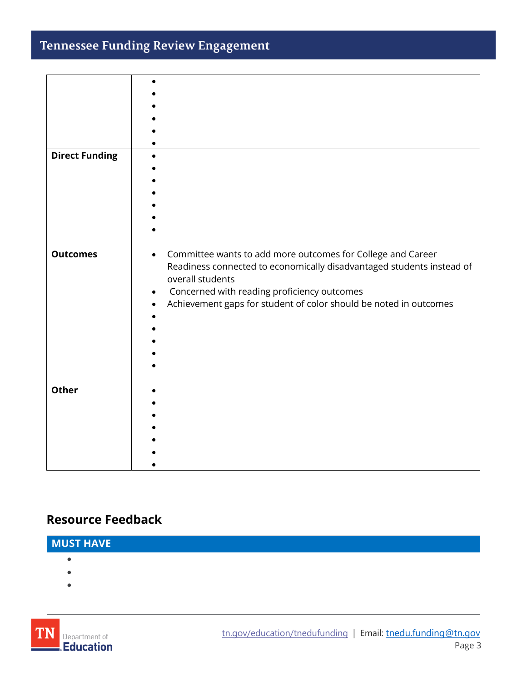# Tennessee Funding Review Engagement

| <b>Direct Funding</b> |                                                                                                                                                                                                                                                                                           |
|-----------------------|-------------------------------------------------------------------------------------------------------------------------------------------------------------------------------------------------------------------------------------------------------------------------------------------|
| <b>Outcomes</b>       | Committee wants to add more outcomes for College and Career<br>$\bullet$<br>Readiness connected to economically disadvantaged students instead of<br>overall students<br>Concerned with reading proficiency outcomes<br>Achievement gaps for student of color should be noted in outcomes |
| <b>Other</b>          |                                                                                                                                                                                                                                                                                           |

## **Resource Feedback**